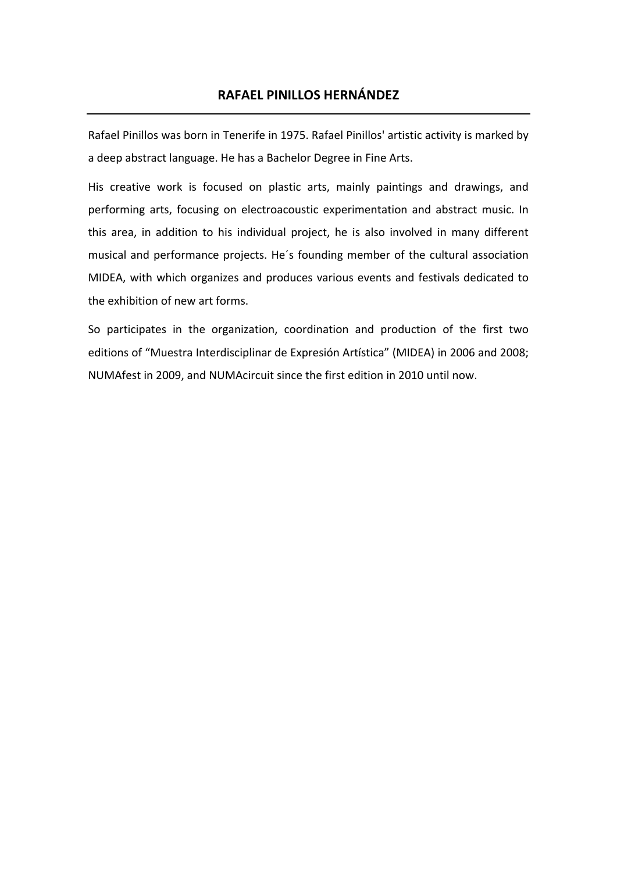# **RAFAEL PINILLOS HERNÁNDEZ**

Rafael Pinillos was born in Tenerife in 1975. Rafael Pinillos' artistic activity is marked by a deep abstract language. He has a Bachelor Degree in Fine Arts.

His creative work is focused on plastic arts, mainly paintings and drawings, and performing arts, focusing on electroacoustic experimentation and abstract music. In this area, in addition to his individual project, he is also involved in many different musical and performance projects. He´s founding member of the cultural association MIDEA, with which organizes and produces various events and festivals dedicated to the exhibition of new art forms.

So participates in the organization, coordination and production of the first two editions of "Muestra Interdisciplinar de Expresión Artística" (MIDEA) in 2006 and 2008; NUMAfest in 2009, and NUMAcircuit since the first edition in 2010 until now.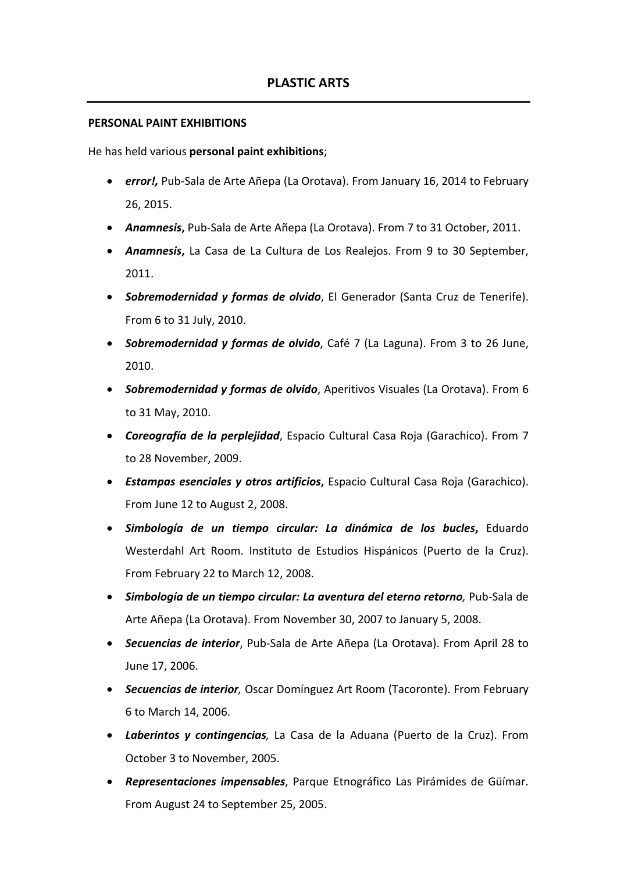#### **PERSONAL PAINT EXHIBITIONS**

He has held various **personal paint exhibitions**;

- *error!,* Pub-Sala de Arte Añepa (La Orotava). From January 16, 2014 to February 26, 2015.
- *Anamnesis***,** Pub-Sala de Arte Añepa (La Orotava). From 7 to 31 October, 2011.
- *Anamnesis***,** La Casa de La Cultura de Los Realejos. From 9 to 30 September, 2011.
- *Sobremodernidad y formas de olvido*, El Generador (Santa Cruz de Tenerife). From 6 to 31 July, 2010.
- *Sobremodernidad y formas de olvido*, Café 7 (La Laguna). From 3 to 26 June, 2010.
- *Sobremodernidad y formas de olvido*, Aperitivos Visuales (La Orotava). From 6 to 31 May, 2010.
- *Coreografía de la perplejidad*, Espacio Cultural Casa Roja (Garachico). From 7 to 28 November, 2009.
- *Estampas esenciales y otros artificios***,** Espacio Cultural Casa Roja (Garachico). From June 12 to August 2, 2008.
- *Simbología de un tiempo circular: La dinámica de los bucles***,** Eduardo Westerdahl Art Room. Instituto de Estudios Hispánicos (Puerto de la Cruz). From February 22 to March 12, 2008.
- *Simbología de un tiempo circular: La aventura del eterno retorno,* Pub-Sala de Arte Añepa (La Orotava). From November 30, 2007 to January 5, 2008.
- *Secuencias de interior*, Pub-Sala de Arte Añepa (La Orotava). From April 28 to June 17, 2006.
- *Secuencias de interior,* Oscar Domínguez Art Room (Tacoronte). From February 6 to March 14, 2006.
- *Laberintos y contingencias,* La Casa de la Aduana (Puerto de la Cruz). From October 3 to November, 2005.
- *Representaciones impensables*, Parque Etnográfico Las Pirámides de Güímar. From August 24 to September 25, 2005.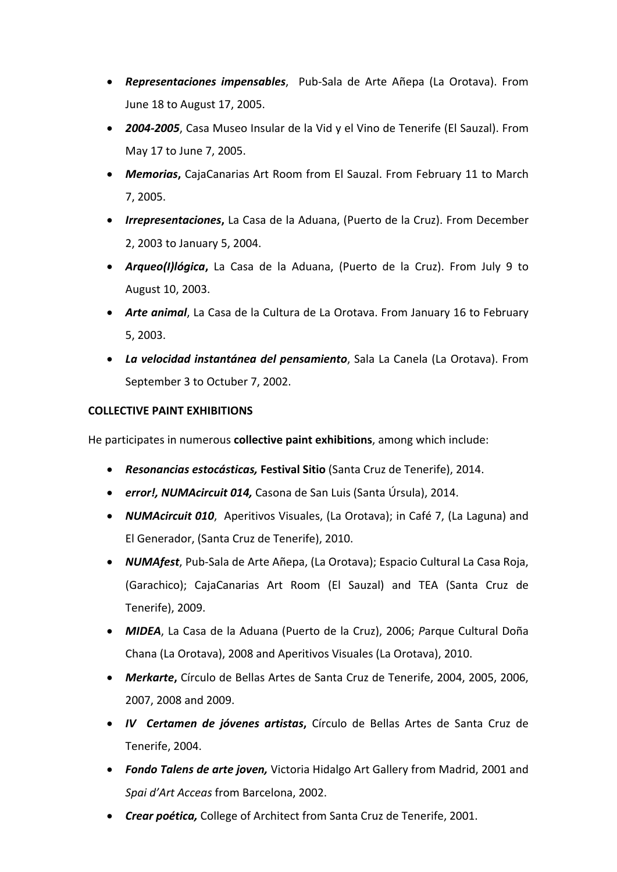- *Representaciones impensables*, Pub-Sala de Arte Añepa (La Orotava). From June 18 to August 17, 2005.
- *2004-2005*, Casa Museo Insular de la Vid y el Vino de Tenerife (El Sauzal). From May 17 to June 7, 2005.
- *Memorias***,** CajaCanarias Art Room from El Sauzal. From February 11 to March 7, 2005.
- *Irrepresentaciones***,** La Casa de la Aduana, (Puerto de la Cruz). From December 2, 2003 to January 5, 2004.
- *Arqueo(I)lógica***,** La Casa de la Aduana, (Puerto de la Cruz). From July 9 to August 10, 2003.
- *Arte animal*, La Casa de la Cultura de La Orotava. From January 16 to February 5, 2003.
- *La velocidad instantánea del pensamiento*, Sala La Canela (La Orotava). From September 3 to Octuber 7, 2002.

# **COLLECTIVE PAINT EXHIBITIONS**

He participates in numerous **collective paint exhibitions**, among which include:

- *Resonancias estocásticas,* **Festival Sitio** (Santa Cruz de Tenerife), 2014.
- *error!, NUMAcircuit 014,* Casona de San Luis (Santa Úrsula), 2014.
- *NUMAcircuit 010*, Aperitivos Visuales, (La Orotava); in Café 7, (La Laguna) and El Generador, (Santa Cruz de Tenerife), 2010.
- *NUMAfest*, Pub-Sala de Arte Añepa, (La Orotava); Espacio Cultural La Casa Roja, (Garachico); CajaCanarias Art Room (El Sauzal) and TEA (Santa Cruz de Tenerife), 2009.
- *MIDEA*, La Casa de la Aduana (Puerto de la Cruz), 2006; *P*arque Cultural Doña Chana (La Orotava), 2008 and Aperitivos Visuales (La Orotava), 2010.
- *Merkarte***,** Círculo de Bellas Artes de Santa Cruz de Tenerife, 2004, 2005, 2006, 2007, 2008 and 2009.
- *IV Certamen de jóvenes artistas***,** Círculo de Bellas Artes de Santa Cruz de Tenerife, 2004.
- *Fondo Talens de arte joven,* Victoria Hidalgo Art Gallery from Madrid, 2001 and *Spai d'Art Acceas* from Barcelona, 2002.
- *Crear poética,* College of Architect from Santa Cruz de Tenerife, 2001.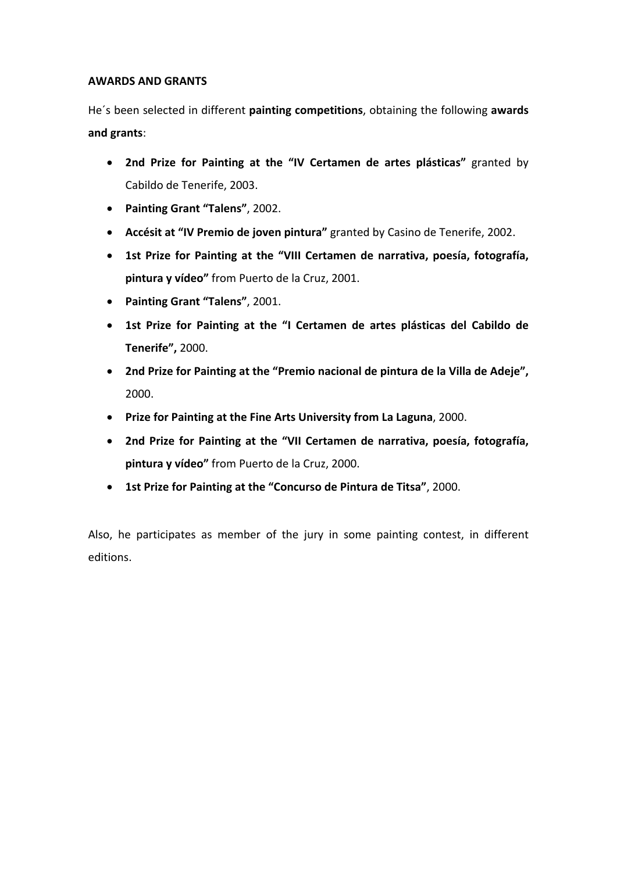#### **AWARDS AND GRANTS**

He´s been selected in different **painting competitions**, obtaining the following **awards and grants**:

- **2nd Prize for Painting at the "IV Certamen de artes plásticas"** granted by Cabildo de Tenerife, 2003.
- **Painting Grant "Talens"**, 2002.
- **Accésit at "IV Premio de joven pintura"** granted by Casino de Tenerife, 2002.
- **1st Prize for Painting at the "VIII Certamen de narrativa, poesía, fotografía, pintura y vídeo"** from Puerto de la Cruz, 2001.
- **Painting Grant "Talens"**, 2001.
- **1st Prize for Painting at the "I Certamen de artes plásticas del Cabildo de Tenerife",** 2000.
- **2nd Prize for Painting at the "Premio nacional de pintura de la Villa de Adeje",** 2000.
- **Prize for Painting at the Fine Arts University from La Laguna**, 2000.
- **2nd Prize for Painting at the "VII Certamen de narrativa, poesía, fotografía, pintura y vídeo"** from Puerto de la Cruz, 2000.
- **1st Prize for Painting at the "Concurso de Pintura de Titsa"**, 2000.

Also, he participates as member of the jury in some painting contest, in different editions.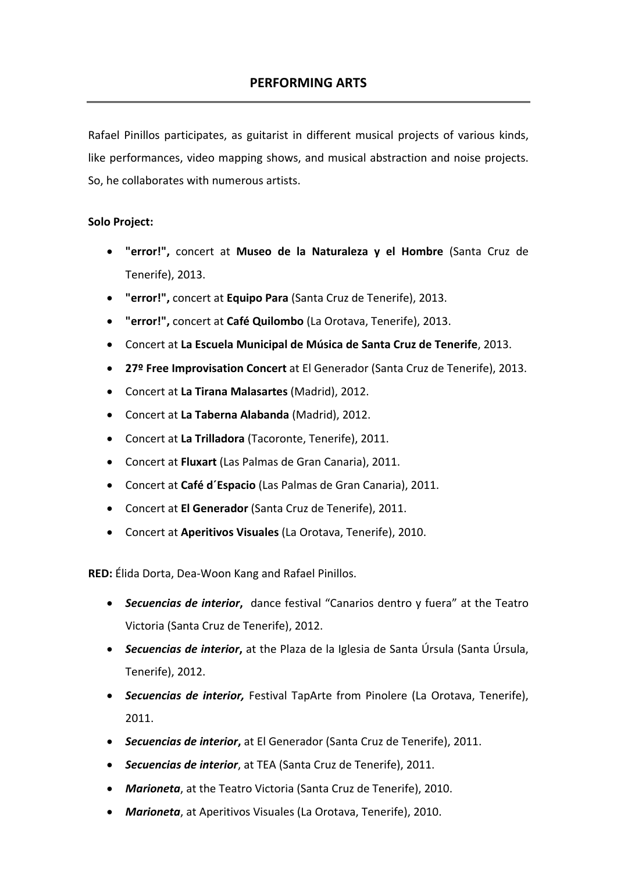Rafael Pinillos participates, as guitarist in different musical projects of various kinds, like performances, video mapping shows, and musical abstraction and noise projects. So, he collaborates with numerous artists.

## **Solo Project:**

- **"error!",** concert at **Museo de la Naturaleza y el Hombre** (Santa Cruz de Tenerife), 2013.
- **"error!",** concert at **Equipo Para** (Santa Cruz de Tenerife), 2013.
- **"error!",** concert at **Café Quilombo** (La Orotava, Tenerife), 2013.
- Concert at **La Escuela Municipal de Música de Santa Cruz de Tenerife**, 2013.
- **27º Free Improvisation Concert** at El Generador (Santa Cruz de Tenerife), 2013.
- Concert at **La Tirana Malasartes** (Madrid), 2012.
- Concert at **La Taberna Alabanda** (Madrid), 2012.
- Concert at **La Trilladora** (Tacoronte, Tenerife), 2011.
- Concert at **Fluxart** (Las Palmas de Gran Canaria), 2011.
- Concert at **Café d´Espacio** (Las Palmas de Gran Canaria), 2011.
- Concert at **El Generador** (Santa Cruz de Tenerife), 2011.
- Concert at **Aperitivos Visuales** (La Orotava, Tenerife), 2010.

**RED:** Élida Dorta, Dea-Woon Kang and Rafael Pinillos.

- *Secuencias de interior***,** dance festival "Canarios dentro y fuera" at the Teatro Victoria (Santa Cruz de Tenerife), 2012.
- *Secuencias de interior***,** at the Plaza de la Iglesia de Santa Úrsula (Santa Úrsula, Tenerife), 2012.
- *Secuencias de interior,* Festival TapArte from Pinolere (La Orotava, Tenerife), 2011.
- *Secuencias de interior***,** at El Generador (Santa Cruz de Tenerife), 2011.
- *Secuencias de interior*, at TEA (Santa Cruz de Tenerife), 2011.
- *Marioneta*, at the Teatro Victoria (Santa Cruz de Tenerife), 2010.
- *Marioneta*, at Aperitivos Visuales (La Orotava, Tenerife), 2010.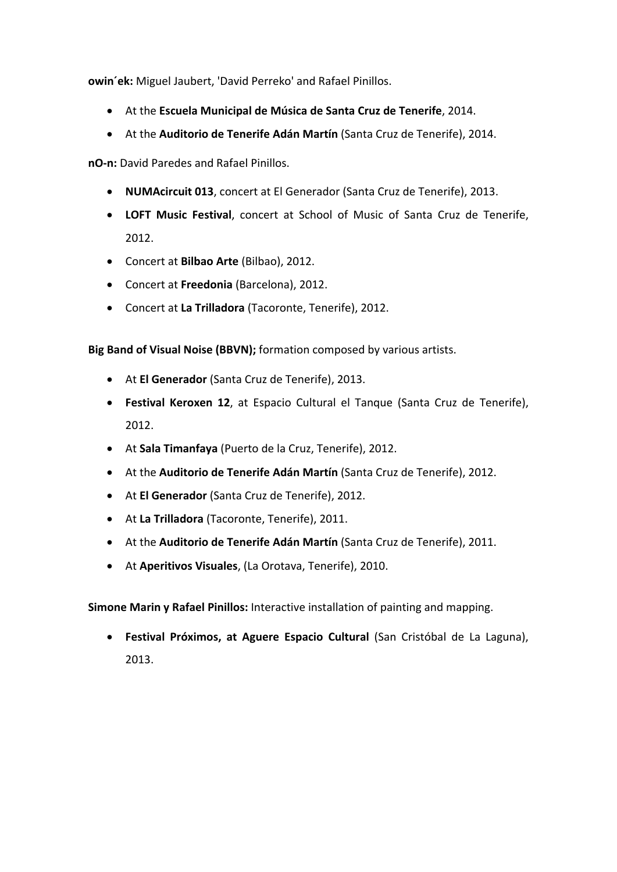**owin´ek:** Miguel Jaubert, 'David Perreko' and Rafael Pinillos.

- At the **Escuela Municipal de Música de Santa Cruz de Tenerife**, 2014.
- At the **Auditorio de Tenerife Adán Martín** (Santa Cruz de Tenerife), 2014.

**nO-n:** David Paredes and Rafael Pinillos.

- **NUMAcircuit 013**, concert at El Generador (Santa Cruz de Tenerife), 2013.
- **LOFT Music Festival**, concert at School of Music of Santa Cruz de Tenerife, 2012.
- Concert at **Bilbao Arte** (Bilbao), 2012.
- Concert at **Freedonia** (Barcelona), 2012.
- Concert at **La Trilladora** (Tacoronte, Tenerife), 2012.

**Big Band of Visual Noise (BBVN);** formation composed by various artists.

- At **El Generador** (Santa Cruz de Tenerife), 2013.
- **Festival Keroxen 12**, at Espacio Cultural el Tanque (Santa Cruz de Tenerife), 2012.
- At **Sala Timanfaya** (Puerto de la Cruz, Tenerife), 2012.
- At the **Auditorio de Tenerife Adán Martín** (Santa Cruz de Tenerife), 2012.
- At **El Generador** (Santa Cruz de Tenerife), 2012.
- At **La Trilladora** (Tacoronte, Tenerife), 2011.
- At the **Auditorio de Tenerife Adán Martín** (Santa Cruz de Tenerife), 2011.
- At **Aperitivos Visuales**, (La Orotava, Tenerife), 2010.

**Simone Marin y Rafael Pinillos:** Interactive installation of painting and mapping.

• **Festival Próximos, at Aguere Espacio Cultural** (San Cristóbal de La Laguna), 2013.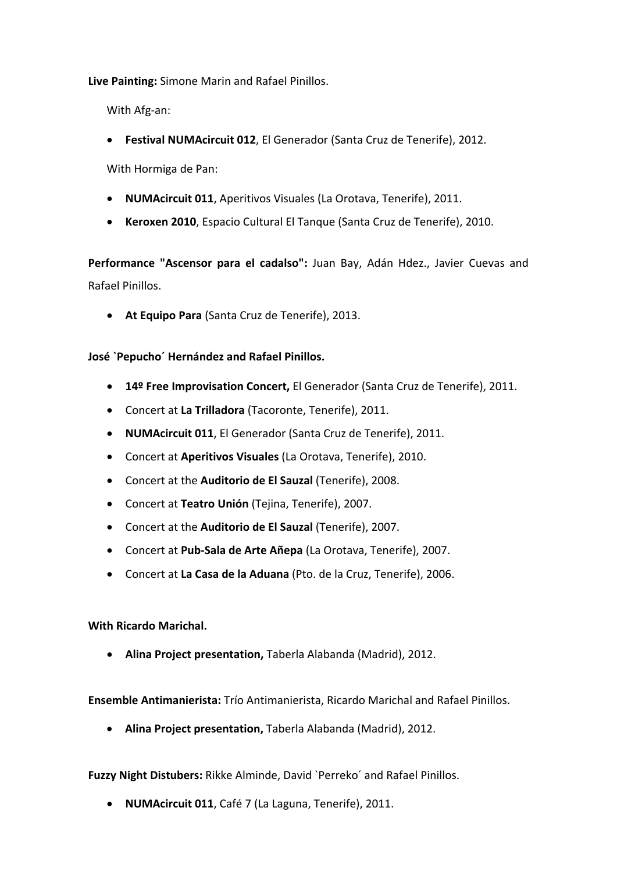**Live Painting:** Simone Marin and Rafael Pinillos.

With Afg-an:

• **Festival NUMAcircuit 012**, El Generador (Santa Cruz de Tenerife), 2012.

With Hormiga de Pan:

- **NUMAcircuit 011**, Aperitivos Visuales (La Orotava, Tenerife), 2011.
- **Keroxen 2010**, Espacio Cultural El Tanque (Santa Cruz de Tenerife), 2010.

**Performance "Ascensor para el cadalso":** Juan Bay, Adán Hdez., Javier Cuevas and Rafael Pinillos.

• **At Equipo Para** (Santa Cruz de Tenerife), 2013.

## **José `Pepucho´ Hernández and Rafael Pinillos.**

- **14º Free Improvisation Concert,** El Generador (Santa Cruz de Tenerife), 2011.
- Concert at **La Trilladora** (Tacoronte, Tenerife), 2011.
- **NUMAcircuit 011**, El Generador (Santa Cruz de Tenerife), 2011.
- Concert at **Aperitivos Visuales** (La Orotava, Tenerife), 2010.
- Concert at the **Auditorio de El Sauzal** (Tenerife), 2008.
- Concert at **Teatro Unión** (Tejina, Tenerife), 2007.
- Concert at the **Auditorio de El Sauzal** (Tenerife), 2007.
- Concert at **Pub-Sala de Arte Añepa** (La Orotava, Tenerife), 2007.
- Concert at **La Casa de la Aduana** (Pto. de la Cruz, Tenerife), 2006.

**With Ricardo Marichal.**

• **Alina Project presentation,** Taberla Alabanda (Madrid), 2012.

**Ensemble Antimanierista:** Trío Antimanierista, Ricardo Marichal and Rafael Pinillos.

• **Alina Project presentation,** Taberla Alabanda (Madrid), 2012.

**Fuzzy Night Distubers:** Rikke Alminde, David `Perreko´ and Rafael Pinillos.

• **NUMAcircuit 011**, Café 7 (La Laguna, Tenerife), 2011.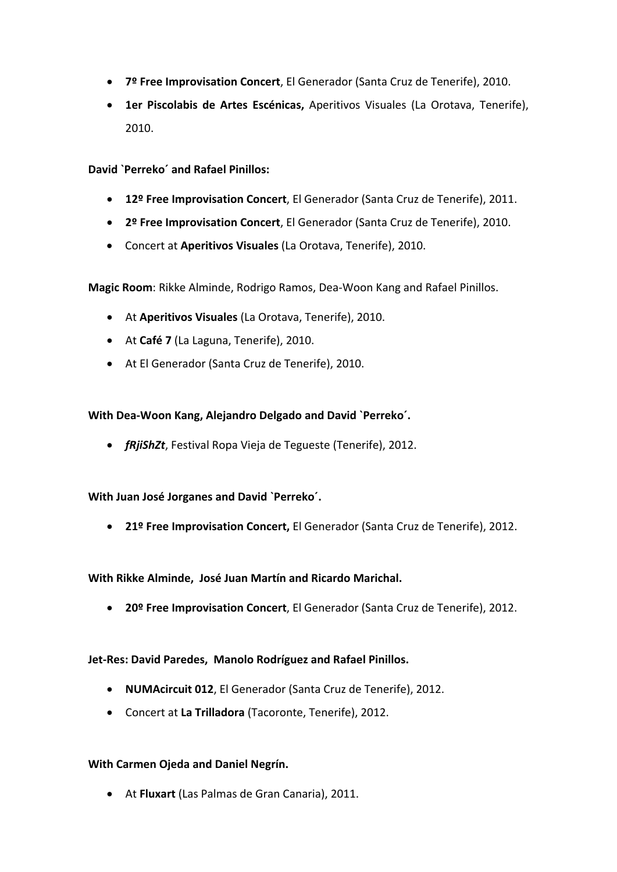- **7º Free Improvisation Concert**, El Generador (Santa Cruz de Tenerife), 2010.
- **1er Piscolabis de Artes Escénicas,** Aperitivos Visuales (La Orotava, Tenerife), 2010.

**David `Perreko´ and Rafael Pinillos:**

- **12º Free Improvisation Concert**, El Generador (Santa Cruz de Tenerife), 2011.
- **2º Free Improvisation Concert**, El Generador (Santa Cruz de Tenerife), 2010.
- Concert at **Aperitivos Visuales** (La Orotava, Tenerife), 2010.

**Magic Room**: Rikke Alminde, Rodrigo Ramos, Dea-Woon Kang and Rafael Pinillos.

- At **Aperitivos Visuales** (La Orotava, Tenerife), 2010.
- At **Café 7** (La Laguna, Tenerife), 2010.
- At El Generador (Santa Cruz de Tenerife), 2010.

## **With Dea-Woon Kang, Alejandro Delgado and David `Perreko´.**

• *fRjiShZt*, Festival Ropa Vieja de Tegueste (Tenerife), 2012.

#### **With Juan José Jorganes and David `Perreko´.**

• **21º Free Improvisation Concert,** El Generador (Santa Cruz de Tenerife), 2012.

#### **With Rikke Alminde, José Juan Martín and Ricardo Marichal.**

• **20º Free Improvisation Concert**, El Generador (Santa Cruz de Tenerife), 2012.

#### **Jet-Res: David Paredes, Manolo Rodríguez and Rafael Pinillos.**

- **NUMAcircuit 012**, El Generador (Santa Cruz de Tenerife), 2012.
- Concert at **La Trilladora** (Tacoronte, Tenerife), 2012.

#### **With Carmen Ojeda and Daniel Negrín.**

• At **Fluxart** (Las Palmas de Gran Canaria), 2011.